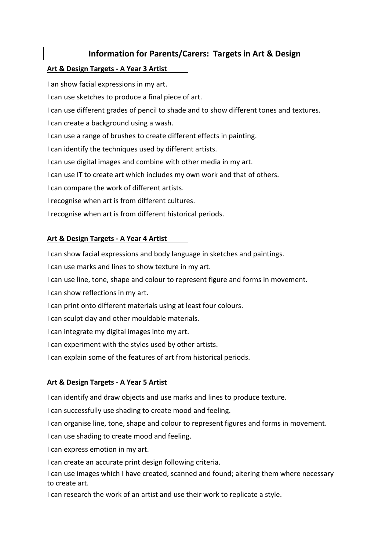# Information for Parents/Carers: Targets in Art & Design

### Art & Design Targets - A Year 3 Artist

I an show facial expressions in my art.

I can use sketches to produce a final piece of art.

I can use different grades of pencil to shade and to show different tones and textures.

I can create a background using a wash.

I can use a range of brushes to create different effects in painting.

I can identify the techniques used by different artists.

I can use digital images and combine with other media in my art.

I can use IT to create art which includes my own work and that of others.

I can compare the work of different artists.

I recognise when art is from different cultures.

I recognise when art is from different historical periods.

### Art & Design Targets - A Year 4 Artist

I can show facial expressions and body language in sketches and paintings.

I can use marks and lines to show texture in my art.

I can use line, tone, shape and colour to represent figure and forms in movement.

I can show reflections in my art.

I can print onto different materials using at least four colours.

I can sculpt clay and other mouldable materials.

I can integrate my digital images into my art.

I can experiment with the styles used by other artists.

I can explain some of the features of art from historical periods.

## Art & Design Targets - A Year 5 Artist

I can identify and draw objects and use marks and lines to produce texture.

I can successfully use shading to create mood and feeling.

I can organise line, tone, shape and colour to represent figures and forms in movement.

I can use shading to create mood and feeling.

I can express emotion in my art.

I can create an accurate print design following criteria.

I can use images which I have created, scanned and found; altering them where necessary to create art.

I can research the work of an artist and use their work to replicate a style.